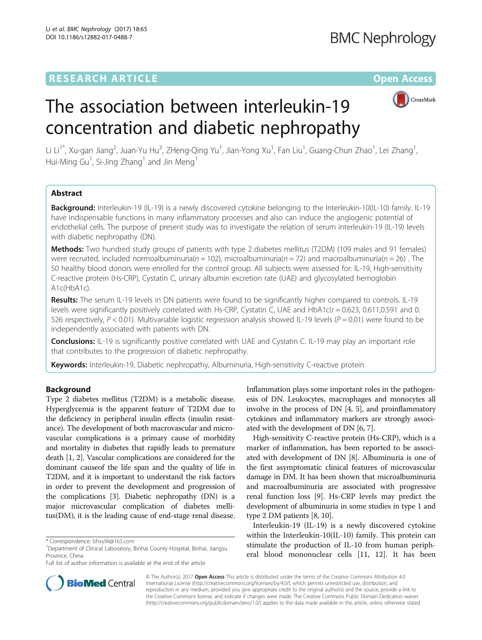## **RESEARCH ARTICLE Example 2014 12:30 The Contract of Contract ACCESS**



# The association between interleukin-19 concentration and diabetic nephropathy

Li Li<sup>1\*</sup>, Xu-gan Jiang<sup>2</sup>, Juan-Yu Hu<sup>3</sup>, ZHeng-Qing Yu<sup>1</sup>, Jian-Yong Xu<sup>1</sup>, Fan Liu<sup>1</sup>, Guang-Chun Zhao<sup>1</sup>, Lei Zhang<sup>1</sup> , Hui-Ming Gu<sup>1</sup>, Si-Jing Zhang<sup>1</sup> and Jin Meng<sup>1</sup>

## Abstract

Background: Interleukin-19 (IL-19) is a newly discovered cytokine belonging to the Interleukin-10(IL-10) family. IL-19 have indispensable functions in many inflammatory processes and also can induce the angiogenic potential of endothelial cells. The purpose of present study was to investigate the relation of serum interleukin-19 (IL-19) levels with diabetic nephropathy (DN).

Methods: Two hundred study groups of patients with type 2 diabetes mellitus (T2DM) (109 males and 91 females) were recruited, included normoalbuminuria( $n = 102$ ), microalbuminuria( $n = 72$ ) and macroalbuminuria( $n = 26$ ). The 50 healthy blood donors were enrolled for the control group. All subjects were assessed for: IL-19, High-sensitivity C-reactive protein (Hs-CRP), Cystatin C, urinary albumin excretion rate (UAE) and glycosylated hemoglobin A1c(HbA1c).

Results: The serum IL-19 levels in DN patients were found to be significantly higher compared to controls. IL-19 levels were significantly positively correlated with Hs-CRP, Cystatin C, UAE and HbA1c( $r = 0.623$ , 0.611,0.591 and 0. 526 respectively,  $P < 0.01$ ). Multivariable logistic regression analysis showed IL-19 levels ( $P = 0.01$ ) were found to be independently associated with patients with DN.

**Conclusions:** IL-19 is significantly positive correlated with UAE and Cystatin C. IL-19 may play an important role that contributes to the progression of diabetic nephropathy.

Keywords: Interleukin-19, Diabetic nephropathy, Albuminuria, High-sensitivity C-reactive protein

## Background

Type 2 diabetes mellitus (T2DM) is a metabolic disease. Hyperglycemia is the apparent feature of T2DM due to the deficiency in peripheral insulin effects (insulin resistance). The development of both macrovascular and microvascular complications is a primary cause of morbidity and mortality in diabetes that rapidly leads to premature death [[1](#page-4-0), [2](#page-4-0)]. Vascular complications are considered for the dominant causeof the life span and the quality of life in T2DM, and it is important to understand the risk factors in order to prevent the development and progression of the complications [[3\]](#page-4-0). Diabetic nephropathy (DN) is a major microvascular complication of diabetes mellitus(DM), it is the leading cause of end-stage renal disease.

Inflammation plays some important roles in the pathogenesis of DN. Leukocytes, macrophages and monocytes all involve in the process of DN [\[4, 5](#page-4-0)], and proinflammatory cytokines and inflammatory markers are strongly associated with the development of DN [\[6, 7](#page-4-0)].

High-sensitivity C-reactive protein (Hs-CRP), which is a marker of inflammation, has been reported to be associated with development of DN [\[8](#page-4-0)]. Albuminuria is one of the first asymptomatic clinical features of microvascular damage in DM. It has been shown that microalbuminuria and macroalbuminuria are associated with progressive renal function loss [\[9](#page-4-0)]. Hs-CRP levels may predict the development of albuminuria in some studies in type 1 and type 2 DM patients [[8](#page-4-0), [10\]](#page-4-0).

Interleukin-19 (IL-19) is a newly discovered cytokine within the Interleukin-10(IL-10) family. This protein can stimulate the production of IL-10 from human peripheral blood mononuclear cells [[11, 12](#page-4-0)]. It has been



© The Author(s). 2017 **Open Access** This article is distributed under the terms of the Creative Commons Attribution 4.0 International License [\(http://creativecommons.org/licenses/by/4.0/](http://creativecommons.org/licenses/by/4.0/)), which permits unrestricted use, distribution, and reproduction in any medium, provided you give appropriate credit to the original author(s) and the source, provide a link to the Creative Commons license, and indicate if changes were made. The Creative Commons Public Domain Dedication waiver [\(http://creativecommons.org/publicdomain/zero/1.0/](http://creativecommons.org/publicdomain/zero/1.0/)) applies to the data made available in this article, unless otherwise stated.

<sup>\*</sup> Correspondence: [bhxylili@163.com](mailto:bhxylili@163.com) <sup>1</sup>

<sup>&</sup>lt;sup>1</sup>Department of Clinical Laboratory, Binhai County Hospital, Binhai, Jiangsu Province, China

Full list of author information is available at the end of the article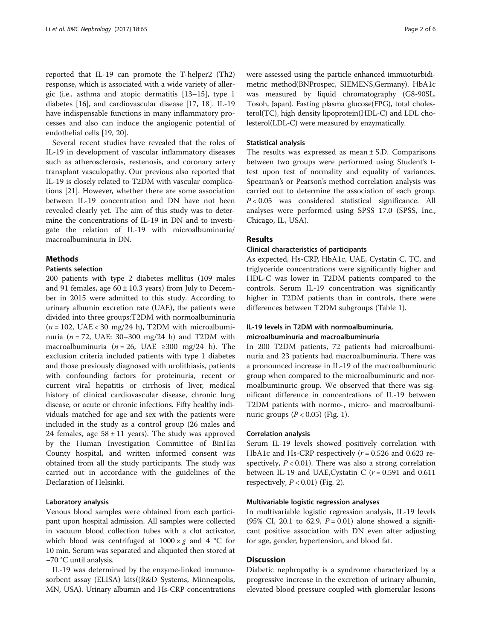reported that IL-19 can promote the T-helper2 (Th2) response, which is associated with a wide variety of allergic (i.e., asthma and atopic dermatitis [[13](#page-4-0)–[15](#page-4-0)], type 1 diabetes [[16\]](#page-4-0), and cardiovascular disease [\[17](#page-4-0), [18](#page-4-0)]. IL-19 have indispensable functions in many inflammatory processes and also can induce the angiogenic potential of endothelial cells [[19](#page-4-0), [20](#page-4-0)].

Several recent studies have revealed that the roles of IL-19 in development of vascular inflammatory diseases such as atherosclerosis, restenosis, and coronary artery transplant vasculopathy. Our previous also reported that IL-19 is closely related to T2DM with vascular complications [\[21](#page-4-0)]. However, whether there are some association between IL-19 concentration and DN have not been revealed clearly yet. The aim of this study was to determine the concentrations of IL-19 in DN and to investigate the relation of IL-19 with microalbuminuria/ macroalbuminuria in DN.

## **Methods**

## Patients selection

200 patients with type 2 diabetes mellitus (109 males and 91 females, age  $60 \pm 10.3$  years) from July to December in 2015 were admitted to this study. According to urinary albumin excretion rate (UAE), the patients were divided into three groups:T2DM with normoalbuminuria  $(n = 102, \text{ UAE} < 30 \text{ mg}/24 \text{ h})$ , T2DM with microalbuminuria ( $n = 72$ , UAE: 30–300 mg/24 h) and T2DM with macroalbuminuria ( $n = 26$ , UAE ≥300 mg/24 h). The exclusion criteria included patients with type 1 diabetes and those previously diagnosed with urolithiasis, patients with confounding factors for proteinuria, recent or current viral hepatitis or cirrhosis of liver, medical history of clinical cardiovascular disease, chronic lung disease, or acute or chronic infections. Fifty healthy individuals matched for age and sex with the patients were included in the study as a control group (26 males and 24 females, age  $58 \pm 11$  years). The study was approved by the Human Investigation Committee of BinHai County hospital, and written informed consent was obtained from all the study participants. The study was carried out in accordance with the guidelines of the Declaration of Helsinki.

## Laboratory analysis

Venous blood samples were obtained from each participant upon hospital admission. All samples were collected in vacuum blood collection tubes with a clot activator, which blood was centrifuged at  $1000 \times g$  and 4 °C for 10 min. Serum was separated and aliquoted then stored at −70 °C until analysis.

IL-19 was determined by the enzyme-linked immunosorbent assay (ELISA) kits((R&D Systems, Minneapolis, MN, USA). Urinary albumin and Hs-CRP concentrations were assessed using the particle enhanced immuoturbidimetric method(BNProspec, SIEMENS,Germany). HbA1c was measured by liquid chromatography (G8-90SL, Tosoh, Japan). Fasting plasma glucose(FPG), total cholesterol(TC), high density lipoprotein(HDL-C) and LDL cholesterol(LDL-C) were measured by enzymatically.

## Statistical analysis

The results was expressed as mean  $\pm$  S.D. Comparisons between two groups were performed using Student's ttest upon test of normality and equality of variances. Spearman's or Pearson's method correlation analysis was carried out to determine the association of each group. P < 0.05 was considered statistical significance. All analyses were performed using SPSS 17.0 (SPSS, Inc., Chicago, IL, USA).

### Results

#### Clinical characteristics of participants

As expected, Hs-CRP, HbA1c, UAE, Cystatin C, TC, and triglyceride concentrations were significantly higher and HDL-C was lower in T2DM patients compared to the controls. Serum IL-19 concentration was significantly higher in T2DM patients than in controls, there were differences between T2DM subgroups (Table [1](#page-2-0)).

## IL-19 levels in T2DM with normoalbuminuria, microalbuminuria and macroalbuminuria

In 200 T2DM patients, 72 patients had microalbuminuria and 23 patients had macroalbuminuria. There was a pronounced increase in IL-19 of the macroalbuminuric group when compared to the microalbuminuric and normoalbuminuric group. We observed that there was significant difference in concentrations of IL-19 between T2DM patients with normo-, micro- and macroalbuminuric groups  $(P < 0.05)$  (Fig. [1](#page-2-0)).

#### Correlation analysis

Serum IL-19 levels showed positively correlation with HbA1c and Hs-CRP respectively  $(r = 0.526$  and 0.623 respectively,  $P < 0.01$ ). There was also a strong correlation between IL-19 and UAE, Cystatin C  $(r = 0.591$  and 0.611 respectively,  $P < 0.01$ ) (Fig. [2\)](#page-3-0).

#### Multivariable logistic regression analyses

In multivariable logistic regression analysis, IL-19 levels (95% CI, 20.1 to 62.9,  $P = 0.01$ ) alone showed a significant positive association with DN even after adjusting for age, gender, hypertension, and blood fat.

## **Discussion**

Diabetic nephropathy is a syndrome characterized by a progressive increase in the excretion of urinary albumin, elevated blood pressure coupled with glomerular lesions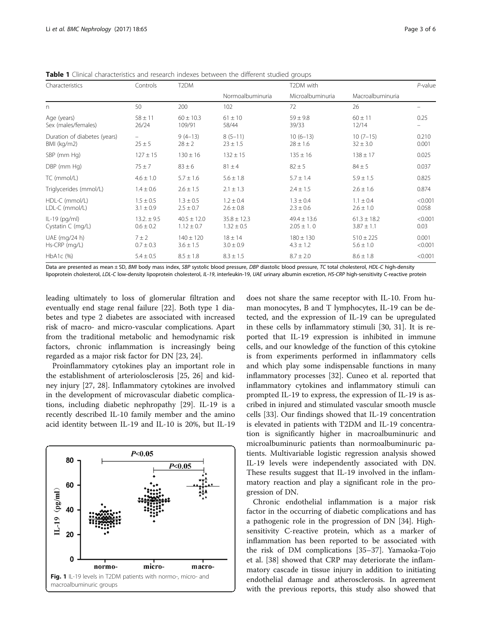| Characteristics                             | Controls                        | T <sub>2</sub> DM                 |                                   | T2DM with                         |                                   | $P$ -value       |
|---------------------------------------------|---------------------------------|-----------------------------------|-----------------------------------|-----------------------------------|-----------------------------------|------------------|
|                                             |                                 |                                   | Normoalbuminuria                  | Microalbuminuria                  | Macroalbuminuria                  |                  |
| n                                           | 50                              | 200                               | 102                               | 72                                | 26                                |                  |
| Age (years)<br>Sex (males/females)          | $58 \pm 11$<br>26/24            | $60 \pm 10.3$<br>109/91           | $61 \pm 10$<br>58/44              | $59 \pm 9.8$<br>39/33             | $60 \pm 11$<br>12/14              | 0.25             |
| Duration of diabetes (years)<br>BMI (kg/m2) | $\qquad \qquad -$<br>$25 \pm 5$ | $9(4-13)$<br>$28 \pm 2$           | $8(5-11)$<br>$23 \pm 1.5$         | $10(6-13)$<br>$28 \pm 1.6$        | $10(7-15)$<br>$32 \pm 3.0$        | 0.210<br>0.001   |
| SBP (mm Hg)                                 | $127 \pm 15$                    | $130 \pm 16$                      | $132 \pm 15$                      | $135 \pm 16$                      | $138 \pm 17$                      | 0.025            |
| DBP (mm Hg)                                 | $75 \pm 7$                      | $83 \pm 6$                        | $81 \pm 4$                        | $82 \pm 5$                        | $84 \pm 5$                        | 0.037            |
| TC (mmol/L)                                 | $4.6 \pm 1.0$                   | $5.7 \pm 1.6$                     | $5.6 \pm 1.8$                     | $5.7 \pm 1.4$                     | $5.9 \pm 1.5$                     | 0.825            |
| Triglycerides (mmol/L)                      | $1.4 \pm 0.6$                   | $2.6 \pm 1.5$                     | $2.1 \pm 1.3$                     | $2.4 \pm 1.5$                     | $2.6 \pm 1.6$                     | 0.874            |
| HDL-C (mmol/L)<br>LDL-C (mmol/L)            | $1.5 \pm 0.5$<br>$3.1 \pm 0.9$  | $1.3 \pm 0.5$<br>$2.5 \pm 0.7$    | $1.2 \pm 0.4$<br>$2.6 \pm 0.8$    | $1.3 \pm 0.4$<br>$2.3 \pm 0.6$    | $1.1 \pm 0.4$<br>$2.6 \pm 1.0$    | < 0.001<br>0.058 |
| $IL-19$ (pg/ml)<br>Cystatin C (mg/L)        | $13.2 \pm 9.5$<br>$0.6 \pm 0.2$ | $40.5 \pm 12.0$<br>$1.12 \pm 0.7$ | $35.8 \pm 12.3$<br>$1.32 \pm 0.5$ | $49.4 \pm 13.6$<br>$2.05 \pm 1.0$ | $61.3 \pm 18.2$<br>$3.87 \pm 1.1$ | < 0.001<br>0.03  |
| UAE (mg/24 h)<br>Hs-CRP (mg/L)              | $7 \pm 2$<br>$0.7 \pm 0.3$      | $140 \pm 120$<br>$3.6 \pm 1.5$    | $18 \pm 14$<br>$3.0 \pm 0.9$      | $180 \pm 130$<br>$4.3 \pm 1.2$    | $510 \pm 225$<br>$5.6 \pm 1.0$    | 0.001<br>< 0.001 |
| $HbA1c$ (%)                                 | $5.4 \pm 0.5$                   | $8.5 \pm 1.8$                     | $8.3 \pm 1.5$                     | $8.7 \pm 2.0$                     | $8.6 \pm 1.8$                     | < 0.001          |

<span id="page-2-0"></span>Table 1 Clinical characteristics and research indexes between the different studied groups

Data are presented as mean ± SD, BMI body mass index, SBP systolic blood pressure, DBP diastolic blood pressure, TC total cholesterol, HDL-C high-density lipoprotein cholesterol, LDL-C low-density lipoprotein cholesterol, IL-19, interleukin-19, UAE urinary albumin excretion, HS-CRP high-sensitivity C-reactive protein

leading ultimately to loss of glomerular filtration and eventually end stage renal failure [\[22](#page-4-0)]. Both type 1 diabetes and type 2 diabetes are associated with increased risk of macro- and micro-vascular complications. Apart from the traditional metabolic and hemodynamic risk factors, chronic inflammation is increasingly being regarded as a major risk factor for DN [\[23](#page-4-0), [24](#page-4-0)].

Proinflammatory cytokines play an important role in the establishment of arteriolosclerosis [\[25, 26\]](#page-4-0) and kidney injury [\[27, 28](#page-4-0)]. Inflammatory cytokines are involved in the development of microvascular diabetic complications, including diabetic nephropathy [[29\]](#page-4-0). IL-19 is a recently described IL-10 family member and the amino acid identity between IL-19 and IL-10 is 20%, but IL-19



does not share the same receptor with IL-10. From human monocytes, B and T lymphocytes, IL-19 can be detected, and the expression of IL-19 can be upregulated in these cells by inflammatory stimuli [\[30, 31\]](#page-4-0). It is reported that IL-19 expression is inhibited in immune cells, and our knowledge of the function of this cytokine is from experiments performed in inflammatory cells and which play some indispensable functions in many inflammatory processes [\[32](#page-4-0)]. Cuneo et al. reported that inflammatory cytokines and inflammatory stimuli can prompted IL-19 to express, the expression of IL-19 is ascribed in injured and stimulated vascular smooth muscle cells [[33\]](#page-4-0). Our findings showed that IL-19 concentration is elevated in patients with T2DM and IL-19 concentration is significantly higher in macroalbuminuric and microalbuminuric patients than normoalbuminuric patients. Multivariable logistic regression analysis showed IL-19 levels were independently associated with DN. These results suggest that IL-19 involved in the inflammatory reaction and play a significant role in the progression of DN.

Chronic endothelial inflammation is a major risk factor in the occurring of diabetic complications and has a pathogenic role in the progression of DN [[34\]](#page-5-0). Highsensitivity C-reactive protein, which as a marker of inflammation has been reported to be associated with the risk of DM complications [\[35](#page-5-0)–[37\]](#page-5-0). Yamaoka-Tojo et al. [[38\]](#page-5-0) showed that CRP may deteriorate the inflammatory cascade in tissue injury in addition to initiating endothelial damage and atherosclerosis. In agreement with the previous reports, this study also showed that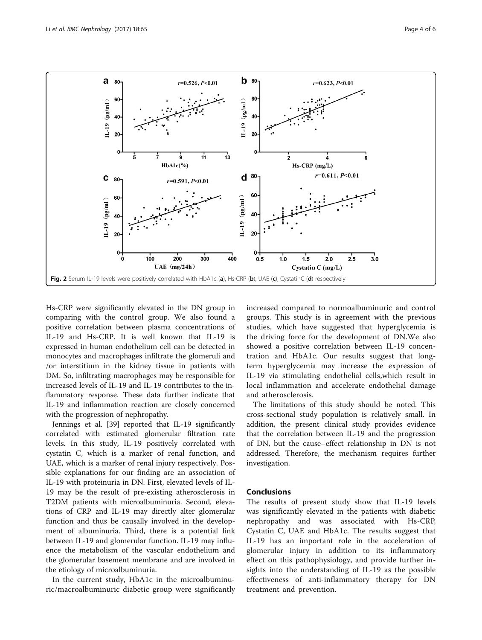<span id="page-3-0"></span>

Hs-CRP were significantly elevated in the DN group in comparing with the control group. We also found a positive correlation between plasma concentrations of IL-19 and Hs-CRP. It is well known that IL-19 is expressed in human endothelium cell can be detected in monocytes and macrophages infiltrate the glomeruli and /or interstitium in the kidney tissue in patients with DM. So, infiltrating macrophages may be responsible for increased levels of IL-19 and IL-19 contributes to the inflammatory response. These data further indicate that IL-19 and inflammation reaction are closely concerned with the progression of nephropathy.

Jennings et al. [[39\]](#page-5-0) reported that IL-19 significantly correlated with estimated glomerular filtration rate levels. In this study, IL-19 positively correlated with cystatin C, which is a marker of renal function, and UAE, which is a marker of renal injury respectively. Possible explanations for our finding are an association of IL-19 with proteinuria in DN. First, elevated levels of IL-19 may be the result of pre-existing atherosclerosis in T2DM patients with microalbuminuria. Second, elevations of CRP and IL-19 may directly alter glomerular function and thus be causally involved in the development of albuminuria. Third, there is a potential link between IL-19 and glomerular function. IL-19 may influence the metabolism of the vascular endothelium and the glomerular basement membrane and are involved in the etiology of microalbuminuria.

In the current study, HbA1c in the microalbuminuric/macroalbuminuric diabetic group were significantly increased compared to normoalbuminuric and control groups. This study is in agreement with the previous studies, which have suggested that hyperglycemia is the driving force for the development of DN.We also showed a positive correlation between IL-19 concentration and HbA1c. Our results suggest that longterm hyperglycemia may increase the expression of IL-19 via stimulating endothelial cells,which result in local inflammation and accelerate endothelial damage and atherosclerosis.

The limitations of this study should be noted. This cross-sectional study population is relatively small. In addition, the present clinical study provides evidence that the correlation between IL-19 and the progression of DN, but the cause–effect relationship in DN is not addressed. Therefore, the mechanism requires further investigation.

## **Conclusions**

The results of present study show that IL-19 levels was significantly elevated in the patients with diabetic nephropathy and was associated with Hs-CRP, Cystatin C, UAE and HbA1c. The results suggest that IL-19 has an important role in the acceleration of glomerular injury in addition to its inflammatory effect on this pathophysiology, and provide further insights into the understanding of IL-19 as the possible effectiveness of anti-inflammatory therapy for DN treatment and prevention.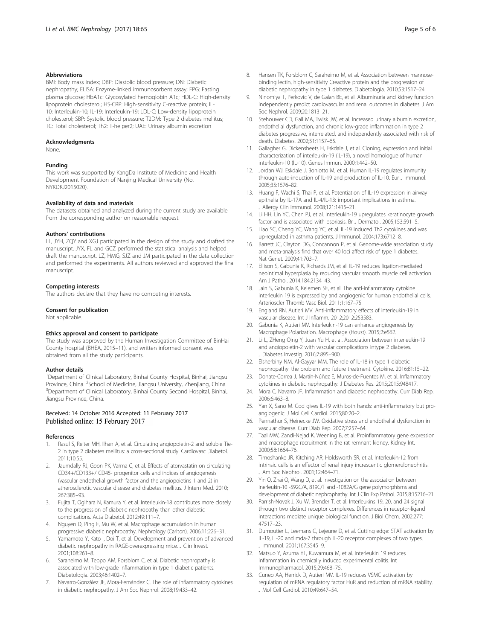#### <span id="page-4-0"></span>Abbreviations

BMI: Body mass index; DBP: Diastolic blood pressure; DN: Diabetic nephropathy; ELISA: Enzyme-linked immunosorbent assay; FPG: Fasting plasma glucose; HbA1c: Glycosylated hemoglobin A1c; HDL-C: High-density lipoprotein cholesterol; HS-CRP: High-sensitivity C-reactive protein; IL-10: Interleukin-10; IL-19: Interleukin-19; LDL-C: Low-density lipoprotein cholesterol; SBP: Systolic blood pressure; T2DM: Type 2 diabetes mellitus; TC: Total cholesterol; Th2: T-helper2; UAE: Urinary albumin excretion

#### Acknowledgments

None.

### Funding

This work was supported by KangDa Institute of Medicine and Health Development Foundation of Nanjing Medical University (No. NYKDKJ2015020).

#### Availability of data and materials

The datasets obtained and analyzed during the current study are available from the corresponding author on reasonable request.

#### Authors' contributions

LL, JYH, ZQY and XGJ participated in the design of the study and drafted the manuscript. JYX, FL and GCZ performed the statistical analysis and helped draft the manuscript. LZ, HMG, SJZ and JM participated in the data collection and performed the experiments. All authors reviewed and approved the final manuscript.

#### Competing interests

The authors declare that they have no competing interests.

#### Consent for publication

Not applicable.

#### Ethics approval and consent to participate

The study was approved by the Human Investigation Committee of BinHai County hospital (BHEA, 2015–11), and written informed consent was obtained from all the study participants.

#### Author details

<sup>1</sup>Department of Clinical Laboratory, Binhai County Hospital, Binhai, Jiangsu Province, China. <sup>2</sup>School of Medicine, Jiangsu University, Zhenjiang, China.<br><sup>3</sup>Department of Clinical Laboratory, Binhai County Second Herpital, Binhai <sup>3</sup>Department of Clinical Laboratory, Binhai County Second Hospital, Binhai, Jiangsu Province, China.

### Received: 14 October 2016 Accepted: 11 February 2017 Published online: 15 February 2017

#### References

- 1. Rasul S, Reiter MH, Ilhan A, et al. Circulating angiopoietin-2 and soluble Tie-2 in type 2 diabetes mellitus: a cross-sectional study. Cardiovasc Diabetol. 2011;10:55.
- 2. Jaumdally RJ, Goon PK, Varma C, et al. Effects of atorvastatin on circulating CD34+/CD133+/ CD45- progenitor cells and indices of angiogenesis (vascular endothelial growth factor and the angiopoietins 1 and 2) in atherosclerotic vascular disease and diabetes mellitus. J Intern Med. 2010; 267:385–93.
- 3. Fujita T, Ogihara N, Kamura Y, et al. Interleukin-18 contributes more closely to the progression of diabetic nephropathy than other diabetic complications. Acta Diabetol. 2012;49:111–7.
- Nguyen D, Ping F, Mu W, et al. Macrophage accumulation in human progressive diabetic nephropathy. Nephrology (Carlton). 2006;11:226–31.
- 5. Yamamoto Y, Kato I, Doi T, et al. Development and prevention of advanced diabetic nephropathy in RAGE-overexpressing mice. J Clin Invest. 2001;108:261–8.
- Saraheimo M, Teppo AM, Forsblom C, et al. Diabetic nephropathy is associated with low-grade inflammation in type 1 diabetic patients. Diabetologia. 2003;46:1402–7.
- 7. Navarro-González JF, Mora-Fernández C. The role of inflammatory cytokines in diabetic nephropathy. J Am Soc Nephrol. 2008;19:433–42.
- 8. Hansen TK, Forsblom C, Saraheimo M, et al. Association between mannosebinding lectin, high-sensitivity Creactive protein and the progression of diabetic nephropathy in type 1 diabetes. Diabetologia. 2010;53:1517–24.
- 9. Ninomiya T, Perkovic V, de Galan BE, et al. Albuminuria and kidney function independently predict cardiovascular and renal outcomes in diabetes. J Am Soc Nephrol. 2009;20:1813–21.
- 10. Stehouwer CD, Gall MA, Twisk JW, et al. Increased urinary albumin excretion, endothelial dysfunction, and chronic low-grade inflammation in type 2 diabetes progressive, interrelated, and independently associated with risk of death. Diabetes. 2002;51:1157–65.
- 11. Gallagher G, Dickensheets H, Eskdale J, et al. Cloning, expression and initial characterization of interleukin-19 (IL-19), a novel homologue of human interleukin-10 (IL-10). Genes Immun. 2000;1:442–50.
- 12. Jordan WJ, Eskdale J, Boniotto M, et al. Human IL-19 regulates immunity through auto-induction of IL-19 and production of IL-10. Eur J Immunol. 2005;35:1576–82.
- 13. Huang F, Wachi S, Thai P, et al. Potentiation of IL-19 expression in airway epithelia by IL-17A and IL-4/IL-13: important implications in asthma. J Allergy Clin Immunol. 2008;121:1415–21.
- 14. Li HH, Lin YC, Chen PJ, et al. Interleukin-19 upregulates keratinocyte growth factor and is associated with psoriasis. Br J Dermatol. 2005;153:591–5.
- 15. Liao SC, Cheng YC, Wang YC, et al. IL-19 induced Th2 cytokines and was up-regulated in asthma patients. J Immunol. 2004;173:6712–8.
- 16. Barrett JC, Clayton DG, Concannon P, et al. Genome-wide association study and meta-analysis find that over 40 loci affect risk of type 1 diabetes. Nat Genet. 2009;41:703–7.
- 17. Ellison S, Gabunia K, Richards JM, et al. IL-19 reduces ligation-mediated neointimal hyperplasia by reducing vascular smooth muscle cell activation. Am J Pathol. 2014;184:2134–43.
- 18. Jain S, Gabunia K, Kelemen SE, et al. The anti-inflammatory cytokine interleukin 19 is expressed by and angiogenic for human endothelial cells. Arterioscler Thromb Vasc Biol. 2011;1:167–75.
- 19. England RN, Autieri MV. Anti-inflammatory effects of interleukin-19 in vascular disease. Int J Inflamm. 2012;2012:253583.
- 20. Gabunia K, Autieri MV. Interleukin-19 can enhance angiogenesis by Macrophage Polarization. Macrophage (Houst). 2015;2:e562.
- 21. Li L, ZHeng Qing Y, Juan Yu H, et al. Association between interleukin-19 and angiopoietin-2 with vascular complications intype 2 diabetes. J Diabetes Investig. 2016;7:895–900.
- 22. Elsherbiny NM, Al-Gayyar MM. The role of IL-18 in type 1 diabetic nephropathy: the problem and future treatment. Cytokine. 2016;81:15–22.
- 23. Donate-Correa J, Martín-Núñez E, Muros-de-Fuentes M, et al. Inflammatory cytokines in diabetic nephropathy. J Diabetes Res. 2015;2015:948417.
- 24. Mora C, Navarro JF. Inflammation and diabetic nephropathy. Curr Diab Rep. 2006;6:463–8.
- 25. Yan X, Sano M. God gives IL-19 with both hands: anti-inflammatory but proangiogenic. J Mol Cell Cardiol. 2015;80:20–2.
- 26. Pennathur S, Heinecke JW. Oxidative stress and endothelial dysfunction in vascular disease. Curr Diab Rep. 2007;7:257–64.
- 27. Taal MW, Zandi-Nejad K, Weening B, et al. Proinflammatory gene expression and macrophage recruitment in the rat remnant kidney. Kidney Int. 2000;58:1664–76.
- 28. Timoshanko JR, Kitching AR, Holdsworth SR, et al. Interleukin-12 from intrinsic cells is an effector of renal injury increscentic glomerulonephritis. J Am Soc Nephrol. 2001;12:464–71.
- 29. Yin Q, Zhai Q, Wang D, et al. Investigation on the association between inerleukin-10 -592C/A, 819C/T and -1082A/G gene polymorphisms and development of diabetic nephrophathy. Int J Clin Exp Pathol. 2015;8:15216–21.
- 30. Parrish-Novak J, Xu W, Brender T, et al. Interleukins 19, 20, and 24 signal through two distinct receptor complexes. Differences in receptor-ligand interactions mediate unique biological function. J Biol Chem. 2002;277: 47517–23.
- 31. Dumoutier L, Leemans C, Lejeune D, et al. Cutting edge: STAT activation by IL-19, IL-20 and mda-7 through IL-20 receptor complexes of two types. J Immunol. 2001;167:3545–9.
- 32. Matsuo Y, Azuma YT, Kuwamura M, et al. Interleukin 19 reduces inflammation in chemically induced experimental colitis. Int Immunopharmacol. 2015;29:468–75.
- 33. Cuneo AA, Herrick D, Autieri MV. IL-19 reduces VSMC activation by regulation of mRNA regulatory factor HuR and reduction of mRNA stability. J Mol Cell Cardiol. 2010;49:647–54.